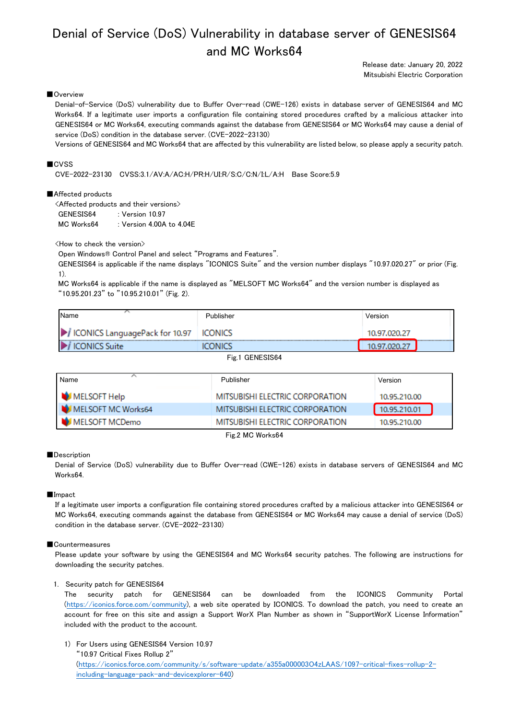# Denial of Service (DoS) Vulnerability in database server of GENESIS64 and MC Works64

Release date: January 20, 2022 Mitsubishi Electric Corporation

# ■Overview

Denial-of-Service (DoS) vulnerability due to Buffer Over-read (CWE-126) exists in database server of GENESIS64 and MC Works64. If a legitimate user imports a configuration file containing stored procedures crafted by a malicious attacker into GENESIS64 or MC Works64, executing commands against the database from GENESIS64 or MC Works64 may cause a denial of service (DoS) condition in the database server. (CVE-2022-23130)

Versions of GENESIS64 and MC Works64 that are affected by this vulnerability are listed below, so please apply a security patch.

# ■CVSS

CVE-2022-23130 CVSS:3.1/AV:A/AC:H/PR:H/UI:R/S:C/C:N/I:L/A:H Base Score:5.9

# ■Affected products

<Affected products and their versions> GENESIS64 : Version 10.97 MC Works64 : Version 4.00A to 4.04E

<How to check the version>

Open Windows® Control Panel and select "Programs and Features".

GENESIS64 is applicable if the name displays "ICONICS Suite" and the version number displays "10.97.020.27" or prior (Fig. 1).

MC Works64 is applicable if the name is displayed as "MELSOFT MC Works64" and the version number is displayed as "10.95.201.23" to "10.95.210.01" (Fig. 2).

| <b>I</b> Name                                     | Publisher         | Version                           |
|---------------------------------------------------|-------------------|-----------------------------------|
| ICONICS LanguagePack for 10.97   ICONICS          |                   | 10.97.020.27                      |
| <br>$\blacktriangleright$<br><b>ICONICS Suite</b> | <br>$\cdot$ INICC | <b>**************************</b> |

Fig.1 GENESIS64

| Name               | Publisher                       | Version      |
|--------------------|---------------------------------|--------------|
| MELSOFT Help       | MITSUBISHI ELECTRIC CORPORATION | 10.95.210.00 |
| MELSOFT MC Works64 | MITSUBISHI ELECTRIC CORPORATION | 10.95.210.01 |
| MELSOFT MCDemo     | MITSUBISHI ELECTRIC CORPORATION | 10.95.210.00 |

Fig.2 MC Works64

### ■Description

Denial of Service (DoS) vulnerability due to Buffer Over-read (CWE-126) exists in database servers of GENESIS64 and MC Works64.

#### ■Impact

If a legitimate user imports a configuration file containing stored procedures crafted by a malicious attacker into GENESIS64 or MC Works64, executing commands against the database from GENESIS64 or MC Works64 may cause a denial of service (DoS) condition in the database server. (CVE-2022-23130)

# ■Countermeasures

Please update your software by using the GENESIS64 and MC Works64 security patches. The following are instructions for downloading the security patches.

## 1. Security patch for GENESIS64

The security patch for GENESIS64 can be downloaded from the ICONICS Community Portal [\(https://iconics.force.com/community\)](https://iconics.force.com/community), a web site operated by ICONICS. To download the patch, you need to create an account for free on this site and assign a Support WorX Plan Number as shown in "SupportWorX License Information" included with the product to the account.

1) For Users using GENESIS64 Version 10.97

"10.97 Critical Fixes Rollup 2"

[\(https://iconics.force.com/community/s/software-update/a355a000003O4zLAAS/1097-critical-fixes-rollup-2](https://iconics.force.com/community/s/software-update/a355a000003O4zLAAS/1097-critical-fixes-rollup-2-including-language-pack-and-devicexplorer-640) [including-language-pack-and-devicexplorer-640\)](https://iconics.force.com/community/s/software-update/a355a000003O4zLAAS/1097-critical-fixes-rollup-2-including-language-pack-and-devicexplorer-640)